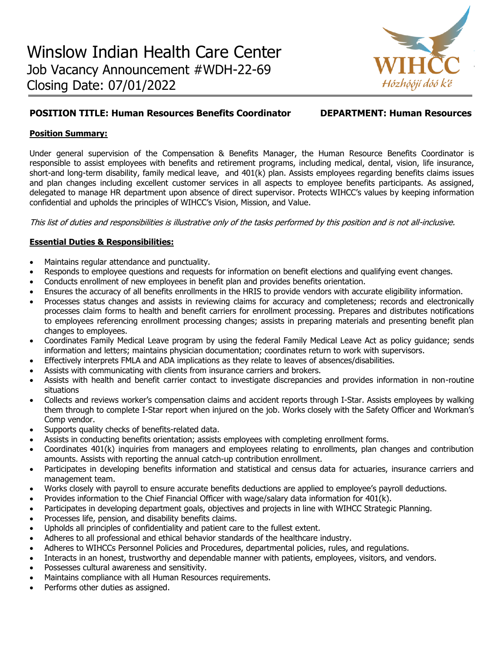

# **POSITION TITLE: Human Resources Benefits Coordinator DEPARTMENT: Human Resources**

## **Position Summary:**

Under general supervision of the Compensation & Benefits Manager, the Human Resource Benefits Coordinator is responsible to assist employees with benefits and retirement programs, including medical, dental, vision, life insurance, short-and long-term disability, family medical leave, and 401(k) plan. Assists employees regarding benefits claims issues and plan changes including excellent customer services in all aspects to employee benefits participants. As assigned, delegated to manage HR department upon absence of direct supervisor. Protects WIHCC's values by keeping information confidential and upholds the principles of WIHCC's Vision, Mission, and Value.

This list of duties and responsibilities is illustrative only of the tasks performed by this position and is not all-inclusive.

## **Essential Duties & Responsibilities:**

- Maintains regular attendance and punctuality.
- Responds to employee questions and requests for information on benefit elections and qualifying event changes.
- Conducts enrollment of new employees in benefit plan and provides benefits orientation.
- Ensures the accuracy of all benefits enrollments in the HRIS to provide vendors with accurate eligibility information.
- Processes status changes and assists in reviewing claims for accuracy and completeness; records and electronically processes claim forms to health and benefit carriers for enrollment processing. Prepares and distributes notifications to employees referencing enrollment processing changes; assists in preparing materials and presenting benefit plan changes to employees.
- Coordinates Family Medical Leave program by using the federal Family Medical Leave Act as policy guidance; sends information and letters; maintains physician documentation; coordinates return to work with supervisors.
- Effectively interprets FMLA and ADA implications as they relate to leaves of absences/disabilities.
- Assists with communicating with clients from insurance carriers and brokers.
- Assists with health and benefit carrier contact to investigate discrepancies and provides information in non-routine situations
- Collects and reviews worker's compensation claims and accident reports through I-Star. Assists employees by walking them through to complete I-Star report when injured on the job. Works closely with the Safety Officer and Workman's Comp vendor.
- Supports quality checks of benefits-related data.
- Assists in conducting benefits orientation; assists employees with completing enrollment forms.
- Coordinates 401(k) inquiries from managers and employees relating to enrollments, plan changes and contribution amounts. Assists with reporting the annual catch-up contribution enrollment.
- Participates in developing benefits information and statistical and census data for actuaries, insurance carriers and management team.
- Works closely with payroll to ensure accurate benefits deductions are applied to employee's payroll deductions.
- Provides information to the Chief Financial Officer with wage/salary data information for 401(k).
- Participates in developing department goals, objectives and projects in line with WIHCC Strategic Planning.
- Processes life, pension, and disability benefits claims.
- Upholds all principles of confidentiality and patient care to the fullest extent.
- Adheres to all professional and ethical behavior standards of the healthcare industry.
- Adheres to WIHCCs Personnel Policies and Procedures, departmental policies, rules, and regulations.
- Interacts in an honest, trustworthy and dependable manner with patients, employees, visitors, and vendors.
- Possesses cultural awareness and sensitivity.
- Maintains compliance with all Human Resources requirements.
- Performs other duties as assigned.